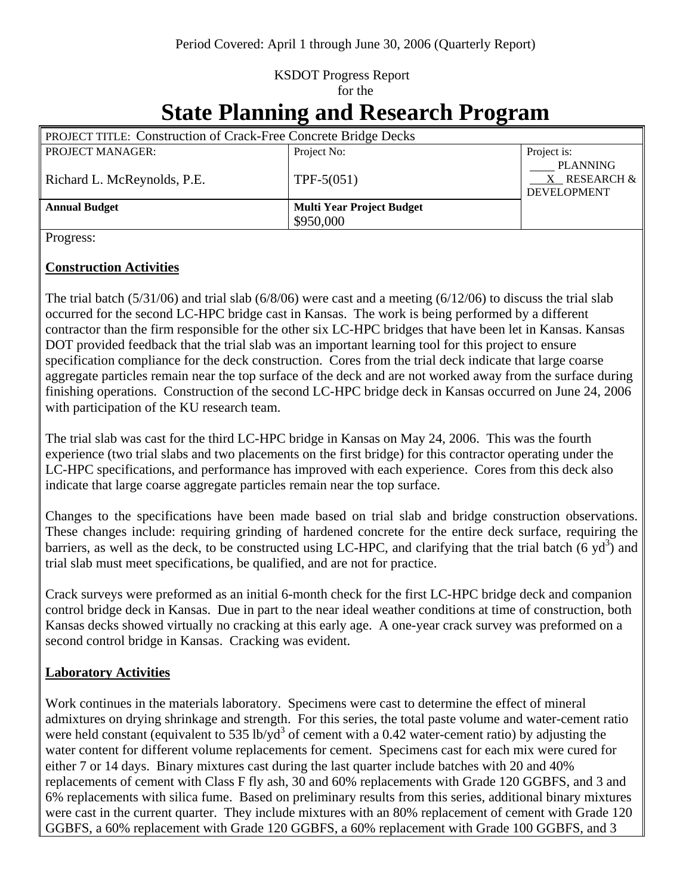## KSDOT Progress Report for the

# **State Planning and Research Program**

| PROJECT TITLE: Construction of Crack-Free Concrete Bridge Decks |                                  |                                                       |
|-----------------------------------------------------------------|----------------------------------|-------------------------------------------------------|
| <b>PROJECT MANAGER:</b>                                         | Project No:                      | Project is:                                           |
| Richard L. McReynolds, P.E.                                     | TPF-5 $(051)$                    | <b>PLANNING</b><br>X RESEARCH &<br><b>DEVELOPMENT</b> |
| <b>Annual Budget</b>                                            | <b>Multi Year Project Budget</b> |                                                       |
|                                                                 | \$950,000                        |                                                       |

Progress:

#### **Construction Activities**

The trial batch  $(5/31/06)$  and trial slab  $(6/8/06)$  were cast and a meeting  $(6/12/06)$  to discuss the trial slab occurred for the second LC-HPC bridge cast in Kansas. The work is being performed by a different contractor than the firm responsible for the other six LC-HPC bridges that have been let in Kansas. Kansas DOT provided feedback that the trial slab was an important learning tool for this project to ensure specification compliance for the deck construction. Cores from the trial deck indicate that large coarse aggregate particles remain near the top surface of the deck and are not worked away from the surface during finishing operations. Construction of the second LC-HPC bridge deck in Kansas occurred on June 24, 2006 with participation of the KU research team.

The trial slab was cast for the third LC-HPC bridge in Kansas on May 24, 2006. This was the fourth experience (two trial slabs and two placements on the first bridge) for this contractor operating under the LC-HPC specifications, and performance has improved with each experience. Cores from this deck also indicate that large coarse aggregate particles remain near the top surface.

Changes to the specifications have been made based on trial slab and bridge construction observations. These changes include: requiring grinding of hardened concrete for the entire deck surface, requiring the barriers, as well as the deck, to be constructed using LC-HPC, and clarifying that the trial batch  $(6 \text{ yd}^3)$  and trial slab must meet specifications, be qualified, and are not for practice.

Crack surveys were preformed as an initial 6-month check for the first LC-HPC bridge deck and companion control bridge deck in Kansas. Due in part to the near ideal weather conditions at time of construction, both Kansas decks showed virtually no cracking at this early age. A one-year crack survey was preformed on a second control bridge in Kansas. Cracking was evident.

## **Laboratory Activities**

Work continues in the materials laboratory. Specimens were cast to determine the effect of mineral admixtures on drying shrinkage and strength. For this series, the total paste volume and water-cement ratio were held constant (equivalent to 535 lb/yd<sup>3</sup> of cement with a 0.42 water-cement ratio) by adjusting the water content for different volume replacements for cement. Specimens cast for each mix were cured for either 7 or 14 days. Binary mixtures cast during the last quarter include batches with 20 and 40% replacements of cement with Class F fly ash, 30 and 60% replacements with Grade 120 GGBFS, and 3 and 6% replacements with silica fume. Based on preliminary results from this series, additional binary mixtures were cast in the current quarter. They include mixtures with an 80% replacement of cement with Grade 120 GGBFS, a 60% replacement with Grade 120 GGBFS, a 60% replacement with Grade 100 GGBFS, and 3